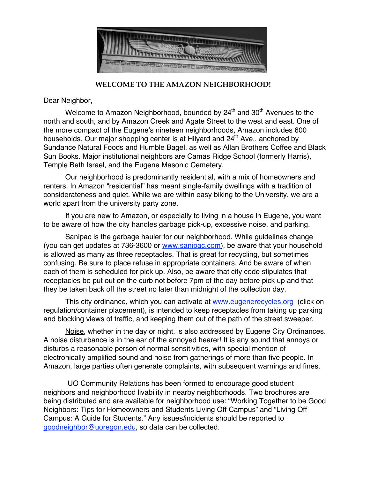

 **WELCOME TO THE AMAZON NEIGHBORHOOD!**

Dear Neighbor,

Welcome to Amazon Neighborhood, bounded by  $24<sup>th</sup>$  and  $30<sup>th</sup>$  Avenues to the north and south, and by Amazon Creek and Agate Street to the west and east. One of the more compact of the Eugene's nineteen neighborhoods, Amazon includes 600 households. Our major shopping center is at Hilyard and 24<sup>th</sup> Ave., anchored by Sundance Natural Foods and Humble Bagel, as well as Allan Brothers Coffee and Black Sun Books. Major institutional neighbors are Camas Ridge School (formerly Harris), Temple Beth Israel, and the Eugene Masonic Cemetery.

Our neighborhood is predominantly residential, with a mix of homeowners and renters. In Amazon "residential" has meant single-family dwellings with a tradition of considerateness and quiet. While we are within easy biking to the University, we are a world apart from the university party zone.

If you are new to Amazon, or especially to living in a house in Eugene, you want to be aware of how the city handles garbage pick-up, excessive noise, and parking.

Sanipac is the garbage hauler for our neighborhood. While guidelines change (you can get updates at 736-3600 or www.sanipac.com), be aware that your household is allowed as many as three receptacles. That is great for recycling, but sometimes confusing. Be sure to place refuse in appropriate containers. And be aware of when each of them is scheduled for pick up. Also, be aware that city code stipulates that receptacles be put out on the curb not before 7pm of the day before pick up and that they be taken back off the street no later than midnight of the collection day.

This city ordinance, which you can activate at www.eugenerecycles.org (click on regulation/container placement), is intended to keep receptacles from taking up parking and blocking views of traffic, and keeping them out of the path of the street sweeper.

Noise, whether in the day or night, is also addressed by Eugene City Ordinances. A noise disturbance is in the ear of the annoyed hearer! It is any sound that annoys or disturbs a reasonable person of normal sensitivities, with special mention of electronically amplified sound and noise from gatherings of more than five people. In Amazon, large parties often generate complaints, with subsequent warnings and fines.

UO Community Relations has been formed to encourage good student neighbors and neighborhood livability in nearby neighborhoods. Two brochures are being distributed and are available for neighborhood use: "Working Together to be Good Neighbors: Tips for Homeowners and Students Living Off Campus" and "Living Off Campus: A Guide for Students." Any issues/incidents should be reported to goodneighbor@uoregon.edu, so data can be collected.